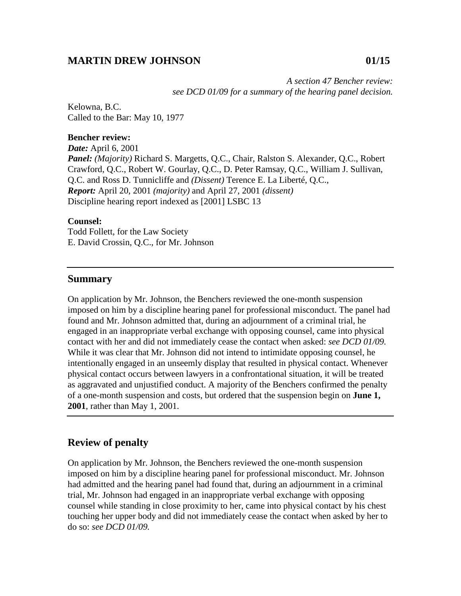# **MARTIN DREW JOHNSON 01/15**

*A section 47 Bencher review: see DCD 01/09 for a summary of the hearing panel decision.* 

Kelowna, B.C. Called to the Bar: May 10, 1977

#### **Bencher review:**

*Date:* April 6, 2001 *Panel: (Majority)* Richard S. Margetts, Q.C., Chair, Ralston S. Alexander, Q.C., Robert Crawford, Q.C., Robert W. Gourlay, Q.C., D. Peter Ramsay, Q.C., William J. Sullivan, Q.C. and Ross D. Tunnicliffe and *(Dissent)* Terence E. La Liberté, Q.C., *Report:* April 20, 2001 *(majority)* and April 27, 2001 *(dissent)*  Discipline hearing report indexed as [2001] LSBC 13

### **Counsel:**

Todd Follett, for the Law Society E. David Crossin, Q.C., for Mr. Johnson

## **Summary**

On application by Mr. Johnson, the Benchers reviewed the one-month suspension imposed on him by a discipline hearing panel for professional misconduct. The panel had found and Mr. Johnson admitted that, during an adjournment of a criminal trial, he engaged in an inappropriate verbal exchange with opposing counsel, came into physical contact with her and did not immediately cease the contact when asked: *see DCD 01/09.* While it was clear that Mr. Johnson did not intend to intimidate opposing counsel, he intentionally engaged in an unseemly display that resulted in physical contact. Whenever physical contact occurs between lawyers in a confrontational situation, it will be treated as aggravated and unjustified conduct. A majority of the Benchers confirmed the penalty of a one-month suspension and costs, but ordered that the suspension begin on **June 1, 2001**, rather than May 1, 2001.

## **Review of penalty**

On application by Mr. Johnson, the Benchers reviewed the one-month suspension imposed on him by a discipline hearing panel for professional misconduct. Mr. Johnson had admitted and the hearing panel had found that, during an adjournment in a criminal trial, Mr. Johnson had engaged in an inappropriate verbal exchange with opposing counsel while standing in close proximity to her, came into physical contact by his chest touching her upper body and did not immediately cease the contact when asked by her to do so: *see DCD 01/09.*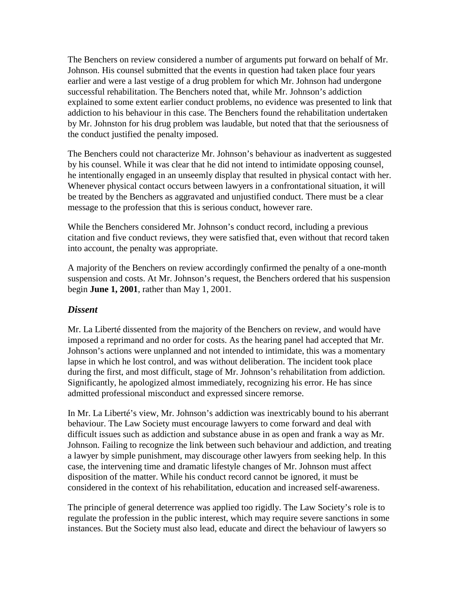The Benchers on review considered a number of arguments put forward on behalf of Mr. Johnson. His counsel submitted that the events in question had taken place four years earlier and were a last vestige of a drug problem for which Mr. Johnson had undergone successful rehabilitation. The Benchers noted that, while Mr. Johnson's addiction explained to some extent earlier conduct problems, no evidence was presented to link that addiction to his behaviour in this case. The Benchers found the rehabilitation undertaken by Mr. Johnston for his drug problem was laudable, but noted that that the seriousness of the conduct justified the penalty imposed.

The Benchers could not characterize Mr. Johnson's behaviour as inadvertent as suggested by his counsel. While it was clear that he did not intend to intimidate opposing counsel, he intentionally engaged in an unseemly display that resulted in physical contact with her. Whenever physical contact occurs between lawyers in a confrontational situation, it will be treated by the Benchers as aggravated and unjustified conduct. There must be a clear message to the profession that this is serious conduct, however rare.

While the Benchers considered Mr. Johnson's conduct record, including a previous citation and five conduct reviews, they were satisfied that, even without that record taken into account, the penalty was appropriate.

A majority of the Benchers on review accordingly confirmed the penalty of a one-month suspension and costs. At Mr. Johnson's request, the Benchers ordered that his suspension begin **June 1, 2001**, rather than May 1, 2001.

# *Dissent*

Mr. La Liberté dissented from the majority of the Benchers on review, and would have imposed a reprimand and no order for costs. As the hearing panel had accepted that Mr. Johnson's actions were unplanned and not intended to intimidate, this was a momentary lapse in which he lost control, and was without deliberation. The incident took place during the first, and most difficult, stage of Mr. Johnson's rehabilitation from addiction. Significantly, he apologized almost immediately, recognizing his error. He has since admitted professional misconduct and expressed sincere remorse.

In Mr. La Liberté's view, Mr. Johnson's addiction was inextricably bound to his aberrant behaviour. The Law Society must encourage lawyers to come forward and deal with difficult issues such as addiction and substance abuse in as open and frank a way as Mr. Johnson. Failing to recognize the link between such behaviour and addiction, and treating a lawyer by simple punishment, may discourage other lawyers from seeking help. In this case, the intervening time and dramatic lifestyle changes of Mr. Johnson must affect disposition of the matter. While his conduct record cannot be ignored, it must be considered in the context of his rehabilitation, education and increased self-awareness.

The principle of general deterrence was applied too rigidly. The Law Society's role is to regulate the profession in the public interest, which may require severe sanctions in some instances. But the Society must also lead, educate and direct the behaviour of lawyers so